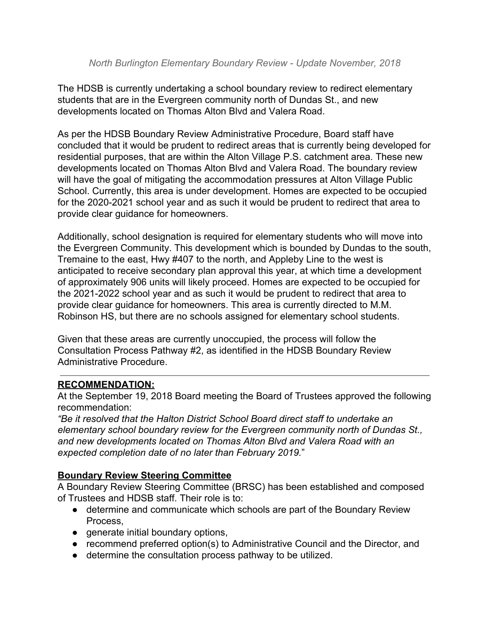The HDSB is currently undertaking a school boundary review to redirect elementary students that are in the Evergreen community north of Dundas St., and new developments located on Thomas Alton Blvd and Valera Road.

As per the HDSB Boundary Review Administrative Procedure, Board staff have concluded that it would be prudent to redirect areas that is currently being developed for residential purposes, that are within the Alton Village P.S. catchment area. These new developments located on Thomas Alton Blvd and Valera Road. The boundary review will have the goal of mitigating the accommodation pressures at Alton Village Public School. Currently, this area is under development. Homes are expected to be occupied for the 2020-2021 school year and as such it would be prudent to redirect that area to provide clear guidance for homeowners.

Additionally, school designation is required for elementary students who will move into the Evergreen Community. This development which is bounded by Dundas to the south, Tremaine to the east, Hwy #407 to the north, and Appleby Line to the west is anticipated to receive secondary plan approval this year, at which time a development of approximately 906 units will likely proceed. Homes are expected to be occupied for the 2021-2022 school year and as such it would be prudent to redirect that area to provide clear guidance for homeowners. This area is currently directed to M.M. Robinson HS, but there are no schools assigned for elementary school students.

Given that these areas are currently unoccupied, the process will follow the Consultation Process Pathway #2, as identified in the HDSB Boundary Review Administrative Procedure.

# **RECOMMENDATION:**

At the September 19, 2018 Board meeting the Board of Trustees approved the following recommendation:

*"Be it resolved that the Halton District School Board direct staff to undertake an elementary school boundary review for the Evergreen community north of Dundas St., and new developments located on Thomas Alton Blvd and Valera Road with an expected completion date of no later than February 2019.*"

### **Boundary Review Steering Committee**

A Boundary Review Steering Committee (BRSC) has been established and composed of Trustees and HDSB staff. Their role is to:

- determine and communicate which schools are part of the Boundary Review Process,
- generate initial boundary options,
- recommend preferred option(s) to Administrative Council and the Director, and
- determine the consultation process pathway to be utilized.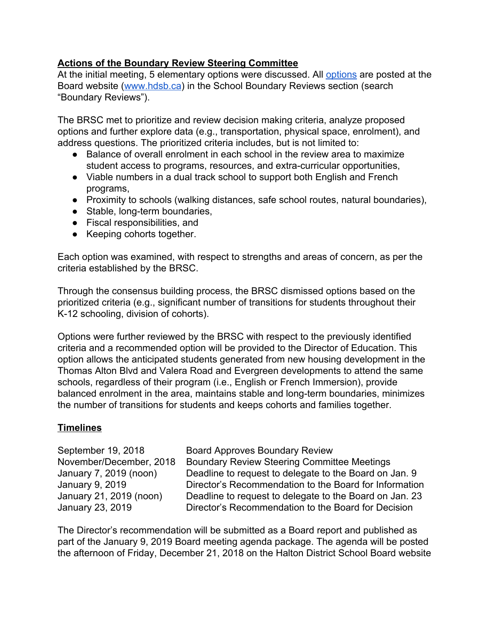## **Actions of the Boundary Review Steering Committee**

At the initial meeting, 5 elementary options were discussed. Al[l](https://www.hdsb.ca/schools/Pages/School%20Boundary%20Reviews/2018-North-Burlington-Elementary-Boundary-Review.aspx) [options](https://www.hdsb.ca/schools/Pages/School%20Boundary%20Reviews/2018-North-Burlington-Elementary-Boundary-Review.aspx) are posted at the Board website [\(www.hdsb.ca](http://www.hdsb.ca/)) in the School Boundary Reviews section (search "Boundary Reviews").

The BRSC met to prioritize and review decision making criteria, analyze proposed options and further explore data (e.g., transportation, physical space, enrolment), and address questions. The prioritized criteria includes, but is not limited to:

- Balance of overall enrolment in each school in the review area to maximize student access to programs, resources, and extra-curricular opportunities,
- Viable numbers in a dual track school to support both English and French programs,
- Proximity to schools (walking distances, safe school routes, natural boundaries),
- Stable, long-term boundaries,
- Fiscal responsibilities, and
- Keeping cohorts together.

Each option was examined, with respect to strengths and areas of concern, as per the criteria established by the BRSC.

Through the consensus building process, the BRSC dismissed options based on the prioritized criteria (e.g., significant number of transitions for students throughout their K-12 schooling, division of cohorts).

Options were further reviewed by the BRSC with respect to the previously identified criteria and a recommended option will be provided to the Director of Education. This option allows the anticipated students generated from new housing development in the Thomas Alton Blvd and Valera Road and Evergreen developments to attend the same schools, regardless of their program (i.e., English or French Immersion), provide balanced enrolment in the area, maintains stable and long-term boundaries, minimizes the number of transitions for students and keeps cohorts and families together.

# **Timelines**

September 19, 2018 Board Approves Boundary Review November/December, 2018 Boundary Review Steering Committee Meetings January 7, 2019 (noon) Deadline to request to delegate to the Board on Jan. 9 January 9, 2019 Director's Recommendation to the Board for Information January 21, 2019 (noon) Deadline to request to delegate to the Board on Jan. 23 January 23, 2019 Director's Recommendation to the Board for Decision

The Director's recommendation will be submitted as a Board report and published as part of the January 9, 2019 Board meeting agenda package. The agenda will be posted the afternoon of Friday, December 21, 2018 on the Halton District School Board website